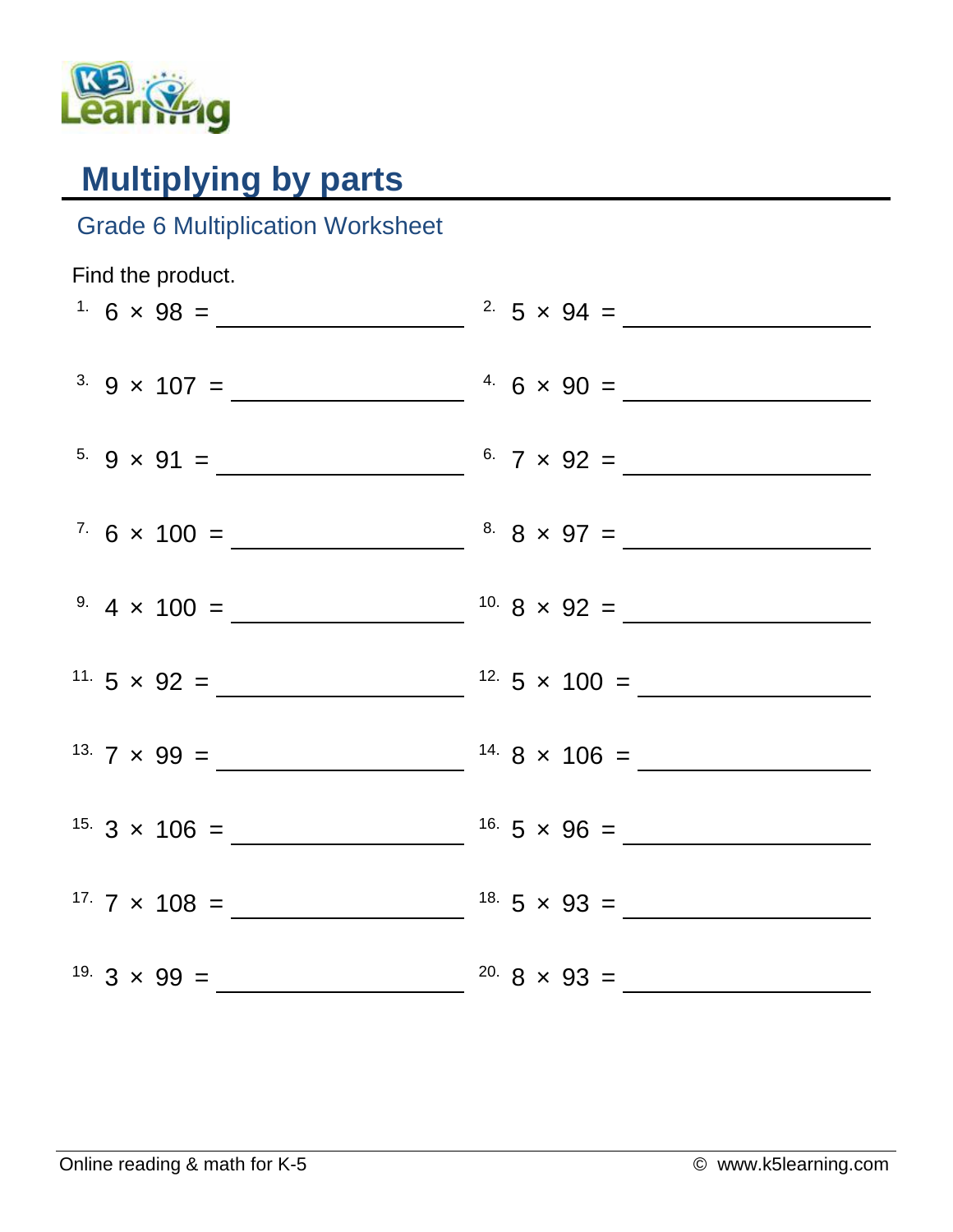

## **Multiplying by parts**

## Grade 6 Multiplication Worksheet

| Find the product.                    |                              |
|--------------------------------------|------------------------------|
| $1.6 \times 98 =$                    | <sup>2</sup> $5 \times 94 =$ |
|                                      |                              |
| $5.9 \times 91 =$ 6. $7 \times 92 =$ |                              |
|                                      |                              |
|                                      |                              |
|                                      |                              |
|                                      |                              |
|                                      |                              |
|                                      |                              |
|                                      |                              |